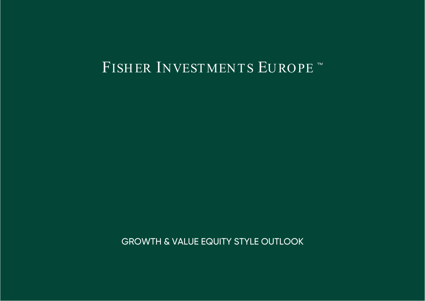# FISHER INVESTMENTS EUROPE

GROWTH & VALUE EQUITY STYLE OUTLOOK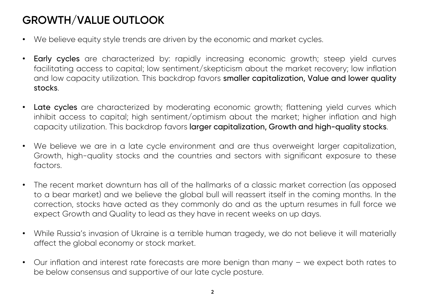### **GROWTH/VALUE OUTLOOK**

- $\bullet$ We believe equity style trends are driven by the economic and market cycles.
- •Early cycles are characterized by: rapidly increasing economic growth; steep yield curves facilitating access to capital; low sentiment/skepticism about the market recovery; low inflation and low capacity utilization. This backdrop favors smaller capitalization, Value and lower quality stocks.
- •Late cycles are characterized by moderating economic growth; flattening yield curves which inhibit access to capital; high sentiment/optimism about the market; higher inflation and high capacity utilization. This backdrop favors larger capitalization, Growth and high-quality stocks.
- •We believe we are in a late cycle environment and are thus overweight larger capitalization, Growth, high-quality stocks and the countries and sectors with significant exposure to these factors.
- $\bullet$  The recent market downturn has all of the hallmarks of <sup>a</sup> classic market correction (as opposed to <sup>a</sup> bear market) and we believe the global bull will reassert itself in the coming months. In the correction, stocks have acted as they commonly do and as the upturn resumes in full force we expect Growth and Quality to lead as they have in recent weeks on up days.
- • While Russia's invasion of Ukraine is <sup>a</sup> terrible human tragedy, we do not believe it will materially affect the global economy or stock market.
- $\bullet$  Our inflation and interest rate forecasts are more benign than many – we expect both rates to be below consensus and supportive of our late cycle posture.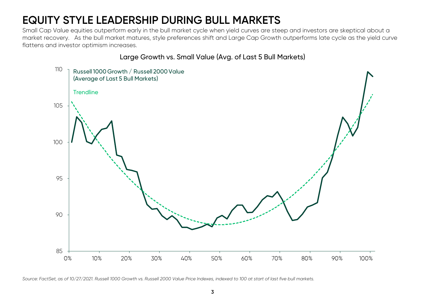## **EQUITY STYLE LEADERSHIP DURING BULL MARKETS**

Small Cap Value equities outperform early in the bull market cycle when yield curves are steep and investors are skeptical about a market recovery. As the bull market matures, style preferences shift and Large Cap Growth outperforms late cycle as the yield curve flattens and investor optimism increases.

### Large Growth vs. Small Value (Avg. of Last 5 Bull Markets)



*Source: FactSet, as of 10/27/2021. Russell 1000 Growth vs. Russell 2000 Value Price Indexes, indexed to 100 at start of last five bull markets.*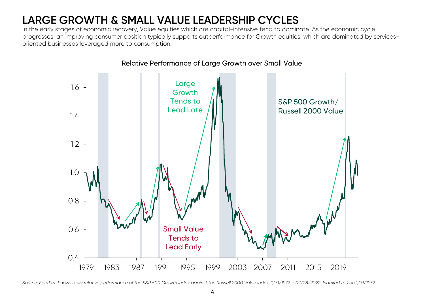## **LARGE GROWTH & SMALL VALUE LEADERSHIP CYCLES**

In the early stages of economic recovery, Value equities which are capital-intensive tend to dominate. As the economic cycle progresses, an improving consumer position typically supports outperformance for Growth equities, which are dominated by servicesoriented businesses leveraged more to consumption.



Relative Performance of Large Growth over Small Value

*Source: FactSet. Shows daily relative performance of the S&P 500 Growth index against the Russell 2000 Value index, 1/31/1979 – 02/28/2022. Indexed to 1 on 1/31/1979.*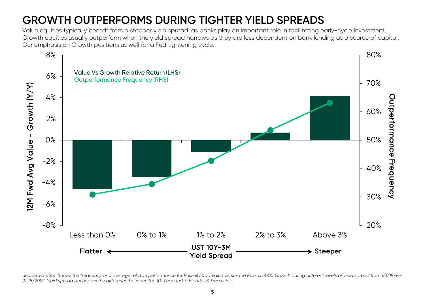## **GROWTH OUTPERFORMS DURING TIGHTER YIELD SPREADS**

Value equities typically benefit from a steeper yield spread, as banks play an important role in facilitating early-cycle investment. Growth equities usually outperform when the yield spread narrows as they are less dependent on bank lending as a source of capital. Our emphasis on Growth positions us well for a Fed tightening cycle.



Source: FactSet. Shows the frequency and average relative performance for Russell 3000 Value versus the Russell 3000 Growth during different levels of yield spread from 1/1/1979 -*2/28/2022. Yield spread defined as the difference between the 10-Year and 3-Month US Treasuries.*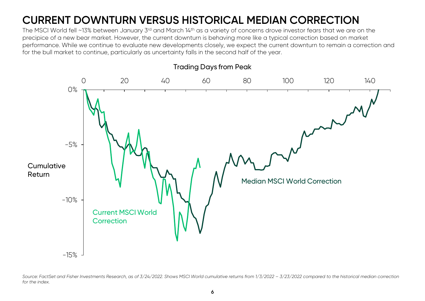### **CURRENT DOWNTURN VERSUS HISTORICAL MEDIAN CORRECTION**

The MSCI World fell ~13% between January 3<sup>rd</sup> and March 14<sup>th</sup> as a variety of concerns drove investor fears that we are on the precipice of a new bear market. However, the current downturn is behaving more like a typical correction based on market performance. While we continue to evaluate new developments closely, we expect the current downturn to remain a correction and for the bull market to continue, particularly as uncertainty falls in the second half of the year.



*Source: FactSet and Fisher Investments Research, as of 3/24/2022. Shows MSCI World cumulative returns from 1/3/2022 – 3/23/2022 compared to the historical median correction for the index.*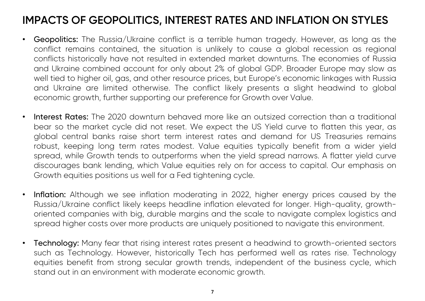### **IMPACTS OF GEOPOLITICS, INTEREST RATES AND INFLATION ON STYLES**

- $\bullet$  Geopolitics: The Russia/Ukraine conflict is <sup>a</sup> terrible human tragedy. However, as long as the conflict remains contained, the situation is unlikely to cause <sup>a</sup> global recession as regional conflicts historically have not resulted in extended market downturns. The economies of Russia and Ukraine combined account for only about 2% of global GDP. Broader Europe may slow as well tied to higher oil, gas, and other resource prices, but Europe's economic linkages with Russia and Ukraine are limited otherwise. The conflict likely presents <sup>a</sup> slight headwind to global economic growth, further supporting our preference for Growth over Value.
- •Interest Rates: The 2020 downturn behaved more like an outsized correction than a traditional bear so the market cycle did not reset. We expect the US Yield curve to flatten this year, as global central banks raise short term interest rates and demand for US Treasuries remains robust, keeping long term rates modest. Value equities typically benefit from <sup>a</sup> wider yield spread, while Growth tends to outperforms when the yield spread narrows. A flatter yield curve discourages bank lending, which Value equities rely on for access to capital. Our emphasis on Growth equities positions us well for <sup>a</sup> Fed tightening cycle.
- •Inflation: Although we see inflation moderating in 2022, higher energy prices caused by the Russia/Ukraine conflict likely keeps headline inflation elevated for longer. High-quality, growthoriented companies with big, durable margins and the scale to navigate complex logistics and spread higher costs over more products are uniquely positioned to navigate this environment.
- •Technology: Many fear that rising interest rates present a headwind to growth-oriented sectors such as Technology. However, historically Tech has performed well as rates rise. Technology equities benefit from strong secular growth trends, independent of the business cycle, which stand out in an environment with moderate economic growth.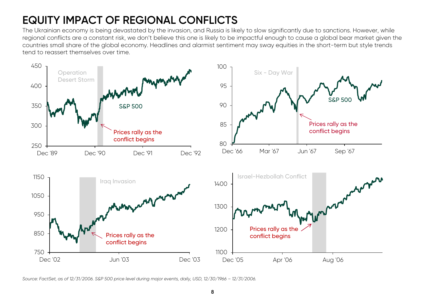### **EQUITY IMPACT OF REGIONAL CONFLICTS**

The Ukrainian economy is being devastated by the invasion, and Russia is likely to slow significantly due to sanctions. However, while regional conflicts are a constant risk, we don't believe this one is likely to be impactful enough to cause a global bear market given the countries small share of the global economy. Headlines and alarmist sentiment may sway equities in the short-term but style trends tend to reassert themselves over time.



*Source: FactSet, as of 12/31/2006. S&P 500 price level during major events, daily, USD, 12/30/1966 – 12/31/2006.*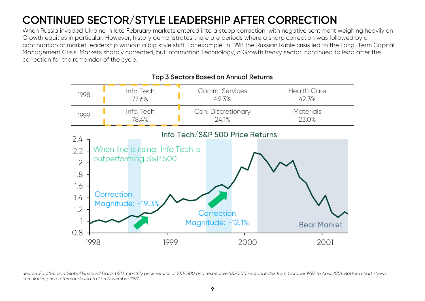## **CONTINUED SECTOR/STYLE LEADERSHIP AFTER CORRECTION**

When Russia invaded Ukraine in late February markets entered into a steep correction, with negative sentiment weighing heavily on Growth equities in particular. However, history demonstrates there are periods where a sharp correction was followed by a continuation of market leadership without a big style shift. For example, in 1998 the Russian Ruble crisis led to the Long-Term Capital Management Crisis. Markets sharply corrected, but Information Technology, a Growth heavy sector, continued to lead after the correction for the remainder of the cycle..



### Top 3 Sectors Based on Annual Returns

*Source: FactSet and Global Financial Data, USD, monthly price returns of S&P 500 and respective S&P 500 sectors index from October 1997 to April 2001. Bottom chart shows cumulative price returns indexed to 1 on November 1997.*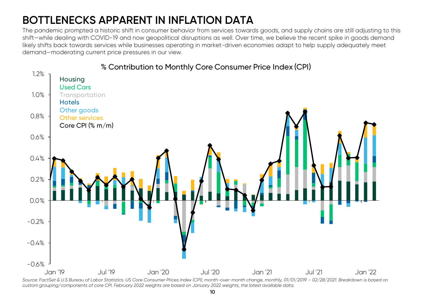## **BOTTLENECKS APPARENT IN INFLATION DATA**

The pandemic prompted a historic shift in consumer behavior from services towards goods, and supply chains are still adjusting to this shift—while dealing with COVID-19 and now geopolitical disruptions as well. Over time, we believe the recent spike in goods demand likely shifts back towards services while businesses operating in market-driven economies adapt to help supply adequately meet demand—moderating current price pressures in our view.



*Source: FactSet & U.S Bureau of Labor Statistics. US Core Consumer Prices Index (CPI), month-over-month change, monthly, 01/01/2019 – 02/28/2021. Breakdown is based on custom grouping/components of core CPI. February 2022 weights are based on January 2022 weights, the latest available data.*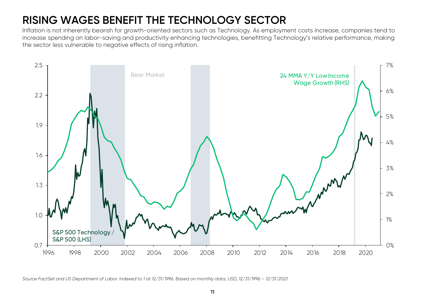## **RISING WAGES BENEFIT THE TECHNOLOGY SECTOR**

Inflation is not inherently bearish for growth-oriented sectors such as Technology. As employment costs increase, companies tend to increase spending on labor-saving and productivity enhancing technologies, benefitting Technology's relative performance, making the sector less vulnerable to negative effects of rising inflation.



*Source FactSet and US Department of Labor. Indexed to 1 at 12/31/1996. Based on monthly data, USD, 12/31/1996 – 12/31/2021.*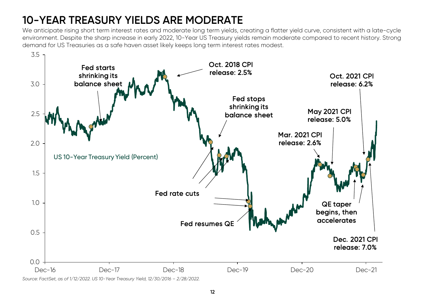## **10-YEAR TREASURY YIELDS ARE MODERATE**

We anticipate rising short term interest rates and moderate long term yields, creating a flatter yield curve, consistent with a late-cycle environment. Despite the sharp increase in early 2022, 10-Year US Treasury yields remain moderate compared to recent history. Strong demand for US Treasuries as a safe haven asset likely keeps long term interest rates modest.



*Source: FactSet, as of 1/12/2022. US 10-Year Treasury Yield, 12/30/2016 – 2/28/2022.*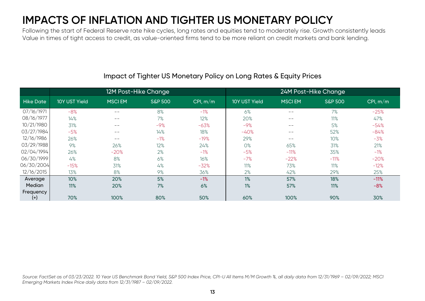### **IMPACTS OF INFLATION AND TIGHTER US MONETARY POLICY**

Following the start of Federal Reserve rate hike cycles, long rates and equities tend to moderately rise. Growth consistently leads Value in times of tight access to credit, as value-oriented firms tend to be more reliant on credit markets and bank lending.

|                       | 12M Post-Hike Change |               |                    |            | 24M Post-Hike Change |               |                    |          |
|-----------------------|----------------------|---------------|--------------------|------------|----------------------|---------------|--------------------|----------|
| <b>Hike Date</b>      | 10Y UST Yield        | <b>MSCIEM</b> | <b>S&amp;P 500</b> | CPI, $m/m$ | 10Y UST Yield        | <b>MSCIEM</b> | <b>S&amp;P 500</b> | CPI, m/m |
| 07/16/1971            | $-8%$                | $- -$         | 8%                 | $-1%$      | 6%                   | --            | 7%                 | $-25%$   |
| 08/16/1977            | 14%                  | $- -$         | 7%                 | 12%        | 20%                  | $- -$         | 11%                | 47%      |
| 10/21/1980            | 31%                  | $- -$         | $-9%$              | $-63%$     | $-9%$                | --            | 5%                 | $-54%$   |
| 03/27/1984            | $-5%$                | $- -$         | 14%                | 18%        | $-40%$               | $- -$         | 52%                | $-84%$   |
| 12/16/1986            | 26%                  | $- -$         | $-1%$              | $-19%$     | 29%                  | --            | 10%                | $-3%$    |
| 03/29/1988            | 9%                   | 26%           | 12%                | 24%        | 0%                   | 65%           | 31%                | 21%      |
| 02/04/1994            | 26%                  | $-20%$        | 2%                 | $-1%$      | $-5%$                | $-11%$        | 35%                | $-1%$    |
| 06/30/1999            | 4%                   | 8%            | 6%                 | 16%        | $-7%$                | $-22%$        | $-11%$             | $-20%$   |
| 06/30/2004            | $-15%$               | 31%           | 4%                 | $-32%$     | 11%                  | 73%           | 11%                | $-12%$   |
| 12/16/2015            | 13%                  | 8%            | 9%                 | 36%        | 2%                   | 42%           | 29%                | 25%      |
| Average               | 10%                  | 20%           | 5%                 | $-1%$      | 1%                   | 57%           | 18%                | $-11%$   |
| Median                | 11%                  | 20%           | 7%                 | 6%         | 1%                   | 57%           | 11%                | $-8%$    |
| Frequency<br>$^{(+)}$ | 70%                  | 100%          | 80%                | 50%        | 60%                  | 100%          | 90%                | 30%      |

### Impact of Tighter US Monetary Policy on Long Rates & Equity Prices

*Source: FactSet as of 03/23/2022. 10 Year US Benchmark Bond Yield, S&P 500 Index Price, CPI-U All Items M/M Growth %, all daily data from 12/31/1969 – 02/09/2022; MSCI Emerging Markets Index Price daily data from 12/31/1987 – 02/09/2022.*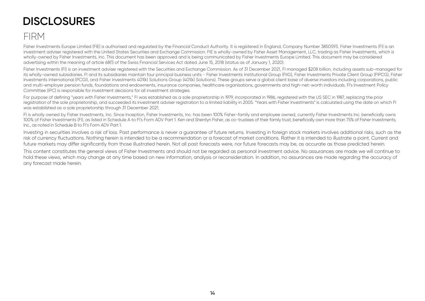### **DISCLOSURES**

### FIRM

Fisher Investments Europe Limited (FIE) is authorised and regulated by the Financial Conduct Authority. It is registered in England, Company Number 3850593. Fisher Investments (FI) is an investment adviser registered with the United States Securities and Exchange Commission. FIE is wholly-owned by Fisher Asset Management, LLC, trading as Fisher Investments, which is wholly-owned by Fisher Investments, Inc. This document has been approved and is being communicated by Fisher Investments Europe Limited. This document may be considered advertising within the meaning of article 68(1) of the Swiss Financial Services Act dated June 15, 2018 (status as of January 1, 2020).

Fisher Investments (FI) is an investment adviser registered with the Securities and Exchange Commission. As of 31 December 2021, FI managed \$208 billion, including assets sub-managed for its wholly-owned subsidiaries. FI and its subsidiaries maintain four principal business units - Fisher Investments Institutional Group (FIIG), Fisher Investments Private Client Group (FIPCG), Fisher Investments International (PCGI), and Fisher Investments 401(k) Solutions Group (401(k) Solutions). These groups serve a global client base of diverse investors including corporations, public and multi-employer pension funds, foundations and endowments, insurance companies, healthcare organisations, governments and high-net-worth individuals. FI's Investment Policy Committee (IPC) is responsible for investment decisions for all investment strategies.

For purpose of defining "years with Fisher Investments," FI was established as a sole proprietorship in 1979, incorporated in 1986, registered with the US SEC in 1987, replacing the prior registration of the sole proprietorship, and succeeded its investment adviser registration to a limited liability in 2005. "Years with Fisher Investments" is calculated using the date on which FI was established as a sole proprietorship through 31 December 2021.

FI is wholly owned by Fisher Investments, Inc. Since Inception, Fisher Investments, Inc. has been 100% Fisher-family and employee owned, currently Fisher Investments Inc. beneficially owns 100% of Fisher Investments (FI), as listed in Schedule A to FI's Form ADV Part 1. Ken and Sherrilyn Fisher, as co-trustees of their family trust, beneficially own more than 75% of Fisher Investments, Inc., as noted in Schedule B to FI's Form ADV Part 1.

Investing in securities involves a risk of loss. Past performance is never a guarantee of future returns. Investing in foreign stock markets involves additional risks, such as the risk of currency fluctuations. Nothing herein is intended to be a recommendation or a forecast of market conditions. Rather it is intended to illustrate a point. Current and future markets may differ significantly from those illustrated herein. Not all past forecasts were, nor future forecasts may be, as accurate as those predicted herein.

This content constitutes the general views of Fisher Investments and should not be regarded as personal investment advice. No assurances are made we will continue to hold these views, which may change at any time based on new information, analysis or reconsideration. In addition, no assurances are made regarding the accuracy of any forecast made herein.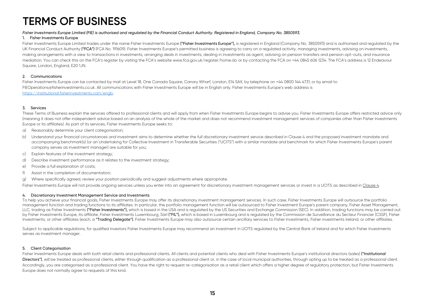#### *Fisher Investments Europe Limited (FIE) is authorised and regulated by the Financial Conduct Authority. Registered in England, Company No. 3850593.*

#### 1. Fisher Investments Europe

Fisher Investments Europe Limited trades under the name Fisher Investments Europe ("Fisher Investments Europe"), is registered in England (Company No. 3850593) and is authorised and regulated by the UK Financial Conduct Authority ("FCA") (FCA No. 191609). Fisher Investments Europe's permitted business is agreeing to carry on a regulated activity, managing investments, advising on investments, making arrangements with a view to transactions in investments, arranging deals in investments, dealing in investments as agent, advising on pension transfers and pension opt-outs, and insurance mediation. You can check this on the FCA's register by visiting the FCA's website www.fca.gov.uk/register/home.do or by contacting the FCA on +44 0845 606 1234. The FCA's address is 12 Endeavour Square, London, England, E20 1JN.

#### 2. Communications

Fisher Investments Europe can be contacted by mail at Level 18, One Canada Square, Canary Wharf, London, E14 5AX; by telephone on +44 0800 144 4731; or by email to FIEOperations@fisherinvestments.co.uk. All communications with Fisher Investments Europe will be in English only. Fisher Investments Europe's web address is https://institutional.fisherinvestments.com/engb.

#### 3. Services

These Terms of Business explain the services offered to professional clients and will apply from when Fisher Investments Europe begins to advise you. Fisher Investments Europe offers restricted advice only (meaning it does not offer independent advice based on an analysis of the whole of the market and does not recommend investment management services of companies other than Fisher Investments Europe or its affiliates). As part of its services, Fisher Investments Europe seeks to:

- a) Reasonably determine your client categorisation;
- b) Understand your financial circumstances and investment aims to determine whether the full discretionary investment service described in Clause 4 and the proposed investment mandate and accompanying benchmark(s) (or an Undertaking for Collective Investment in Transferable Securities ("UCITS") with a similar mandate and benchmark for which Fisher Investments Europe's parent company serves as investment manager) are suitable for you;
- c) Explain features of the investment strategy;
- d) Describe investment performance as it relates to the investment strategy;
- e) Provide a full explanation of costs;
- f) Assist in the completion of documentation;
- g) Where specifically agreed, review your position periodically and suggest adjustments where appropriate.

Fisher Investments Europe will not provide ongoing services unless you enter into an agreement for discretionary investment management services or invest in a UCITS as described in Clause 4.

#### 4. Discretionary Investment Management Service and Investments

To help you achieve your financial goals, Fisher Investments Europe may offer its discretionary investment management services. In such case, Fisher Investments Europe will outsource the portfolio management function and trading functions to its affiliates. In particular, the portfolio management function will be outsourced to Fisher Investment Europe's parent company, Fisher Asset Management, LLC, trading as Fisher Investments ("Fisher Investments"), which is based in the USA and is regulated by the US Securities and Exchange Commission (SEC). In addition, trading functions may be carried out by Fisher Investments Europe, its affiliate, Fisher Investments Luxembourg, Sàrl ("FIL"), which is based in Luxembourg and is regulated by the Commission de Surveillance du Secteur Financier (CSSF), Fisher Investments, or other affiliates (each, a "Trading Delegate"). Fisher Investments Europe may also outsource certain ancillary services to Fisher Investments, Fisher investments Ireland, or other affiliates.

Subject to applicable regulations, for qualified investors Fisher Investments Europe may recommend an investment in UCITS regulated by the Central Bank of Ireland and for which Fisher Investments serves as investment manager.

#### 5. Client Categorisation

Fisher Investments Europe deals with both retail clients and professional clients. All clients and potential clients who deal with Fisher Investments Europe's institutional directors (sales) ("Institutional Directors"), will be treated as professional clients, either through qualification as a professional client or, in the case of local municipal authorities, through opting up to be treated as a professional client. Accordingly, you are categorised as a professional client. You have the right to request re-categorisation as a retail client which offers a higher degree of regulatory protection, but Fisher Investments Europe does not normally agree to requests of this kind.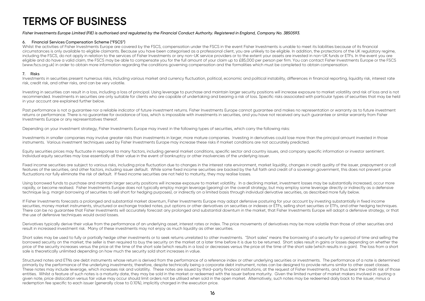#### *Fisher Investments Europe Limited (FIE) is authorised and regulated by the Financial Conduct Authority. Registered in England, Company No. 3850593.*

#### 6. Financial Services Compensation Scheme ("FSCS")

Whilst the activities of Fisher Investments Europe are covered by the FSCS, compensation under the FSCS in the event Fisher Investments is unable to meet its liabilities because of its financial circumstances is only available to eligible claimants. Because you have been categorised as a professional client, you are unlikely to be eligible. In addition, the protections of the UK regulatory regime, including the FSCS, do not apply in relation to the services of Fisher Investments or any non-UK service providers or to the extent your assets are invested in non-UK funds or ETFs. In the event you are eligible and do have a valid claim, the FSCS may be able to compensate you for the full amount of your claim up to £85,000 per person per firm. You can contact Fisher Investments Europe or the FSCS (www.fscs.org.uk) in order to obtain more information regarding the conditions governing compensation and the formalities which must be completed to obtain compensation.

#### 7. Risks

Investments in securities present numerous risks, including various market and currency fluctuation, political, economic and political instability, differences in financial reporting, liquidity risk, interest rate risk, credit risk, and other risks, and can be very volatile.

Investing in securities can result in a loss, including a loss of principal. Using leverage to purchase and maintain larger security positions will increase exposure to market volatility and risk of loss and is not recommended. Investments in securities are only suitable for clients who are capable of undertaking and bearing a risk of loss. Specific risks associated with particular types of securities that may be held in your account are explained further below.

Past performance is not a guarantee nor a reliable indicator of future investment returns. Fisher Investments Europe cannot quarantee and makes no representation or warranty as to future investment returns or performance. There is no guarantee for avoidance of loss, which is impossible with investments in securities, and you have not received any such guarantee or similar warranty from Fisher Investments Europe or any representatives thereof.

Depending on your investment strategy, Fisher Investments Europe may invest in the following types of securities, which carry the following risks:

Investments in smaller companies may involve greater risks than investments in larger, more mature companies. Investing in derivatives could lose more than the principal amount invested in those instruments. Various investment techniques used by Fisher Investments Europe may increase these risks if market conditions are not accurately predicted.

Equity securities prices may fluctuate in response to many factors, including general market conditions, specific sector and country issues, and company specific information or investor sentiment. Individual equity securities may lose essentially all their value in the event of bankruptcy or other insolvencies of the underlying issuer.

Fixed income securities are subject to various risks, including price fluctuation due to changes in the interest rate environment, market liquidity, changes in credit quality of the issuer, prepayment or call features of the securities, and other factors, including issuer default. While some fixed income securities are backed by the full faith and credit of a sovereign government, this does not prevent price fluctuations nor fully eliminate the risk of default. If fixed income securities are not held to maturity, they may realise losses.

Using borrowed funds to purchase and maintain larger security positions will increase exposure to market volatility. In a declining market, investment losses may be substantially increased, occur more rapidly, or become realised. Fisher Investments Europe does not typically employ margin leverage (gearing) on the overall strategy, but may employ some leverage directly or indirectly as a defensive technique (e.g. margin borrowing of securities to sell short for hedging purposes), or indirectly on a limited basis through individual derivative securities, as described more fully below.

If Fisher Investments forecasts a prolonged and substantial market downturn, Fisher Investments Europe may adopt defensive posturing for your account by investing substantially in fixed income securities, money market instruments, structured or exchange traded notes, put options or other derivatives on securities or indexes or ETFs, selling short securities or ETFs, and other hedging techniques. There can be no guarantee that Fisher Investments will accurately forecast any prolonged and substantial downturn in the market, that Fisher Investments Europe will adopt a defensive strategy, or that the use of defensive techniques would avoid losses.

Derivatives typically derive their value from the performance of an underlying asset, interest rates or index. The price movements of derivatives may be more volatile than those of other securities and result in increased investment risk. Many of these investments may not enjoy as much liquidity as other securities.

Short sales may be used to fully or partially hedge other investments or to seek returns unrelated to other investments. "Short sales" means the borrowing of a security for a period of time and selling the borrowed security on the market; the seller is then required to buy the security on the market at a later time before it is due to be returned. Short sales result in gains or losses depending on whether the price of the security increases versus the price at the time of the short sale (which results in a loss) or decreases versus the price at the time of the short sale (which results in a gain). The loss from a short sale is theoretically unlimited depending on how much the security sold short increases in value.

Structured notes and ETNs are debt instruments whose return is derived from the performance of a reference index or other underlying securities or investments. The performance of a note is determined primarily by the performance of the underlying investments; therefore, despite technically being a corporate debt instrument, notes can be designed to provide returns similar to other asset classes. These notes may include leverage, which increases risk and volatility. These notes are issued by third-party financial institutions, at the request of Fisher Investments, and thus bear the credit risk of those entities. Whilst a feature of such notes is a maturity date, they may be sold in the market or redeemed with the issuer before maturity. Given the limited number of market makers involved in quoting a given note, price dislocation versus fair value may occur should limit orders not be utilised when sold in the open market. Alternatively, such notes may be redeemed daily back to the issuer, minus a redemption fee specific to each issuer (generally close to 0.10%), implicitly charged in the execution price.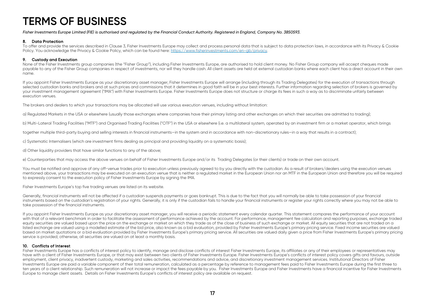#### *Fisher Investments Europe Limited (FIE) is authorised and regulated by the Financial Conduct Authority. Registered in England, Company No. 3850593.*

#### 8. Data Protection

To offer and provide the services described in Clause 3, Fisher Investments Europe may collect and process personal data that is subject to data protection laws, in accordance with its Privacy & Cookie Policy. You acknowledge the Privacy & Cookie Policy, which can be found here: https://www.fisherinvestments.com/en-gb/privacy.

#### 9. Custody and Execution

None of the Fisher Investments group companies (the "Fisher Group"), including Fisher Investments Europe, are authorised to hold client money. No Fisher Group company will accept cheques made payable to any of the Fisher Group companies in respect of investments, nor will they handle cash. All client assets are held at external custodian banks where each client has a direct account in their own name.

If you appoint Fisher Investments Europe as your discretionary asset manager, Fisher Investments Europe will arrange (including through its Trading Delegates) for the execution of transactions through selected custodian banks and brokers and at such prices and commissions that it determines in good faith will be in your best interests. Further information regarding selection of brokers is governed by your investment management agreement ("IMA") with Fisher Investments Europe. Fisher Investments Europe does not structure or charge its fees in such a way as to discriminate unfairly between execution venues.

The brokers and dealers to which your transactions may be allocated will use various execution venues, including without limitation:

a) Regulated Markets in the USA or elsewhere (usually those exchanges where companies have their primary listing and other exchanges on which their securities are admitted to trading);

b) Multi-Lateral Trading Facilities ("MTF") and Organised Trading Facilities ("OTF") in the USA or elsewhere (i.e. a multilateral system, operated by an investment firm or a market operator, which brings

together multiple third-party buying and selling interests in financial instruments—in the system and in accordance with non-discretionary rules—in a way that results in a contract);

c) Systematic Internalisers (which are investment firms dealing as principal and providing liquidity on a systematic basis);

d) Other liquidity providers that have similar functions to any of the above;

e) Counterparties that may access the above venues on behalf of Fisher Investments Europe and/or its Trading Delegates (or their clients) or trade on their own account.

You must be notified and approve of any off-venue trades prior to execution unless previously agreed to by you directly with the custodian. As a result of brokers/dealers using the execution venues mentioned above, your transactions may be executed on an execution venue that is neither a regulated market in the European Union nor an MTF in the European Union and therefore you will be required to expressly consent to the execution policy of Fisher Investments Europe by signing the IMA.

Fisher Investments Europe's top five trading venues are listed on its website.

Generally, financial instruments will not be affected if a custodian suspends payments or goes bankrupt. This is due to the fact that you will normally be able to take possession of your financial instruments based on the custodian's registration of your rights. Generally, it is only if the custodian fails to handle your financial instruments or register your rights correctly where you may not be able to take possession of the financial instruments.

If you appoint Fisher Investments Europe as your discretionary asset manager, you will receive a periodic statement every calendar quarter. This statement compares the performance of your account with that of a relevant benchmark in order to facilitate the assessment of performance achieved by the account. For performance, management fee calculation and reporting purposes, exchange traded equity securities are valued based upon the price on the exchange or market on which they trade as of the close of business of such exchange or market. All equity securities that are not traded on a listed exchange are valued using a modelled estimate of the bid price, also known as a bid evaluation, provided by Fisher Investments Europe's primary pricing service. Fixed income securities are valued based on market quotations or a bid evaluation provided by Fisher Investments Europe's primary pricing service. All securities are valued daily given a price from Fisher Investments Europe's primary pricing service is provided; otherwise, all securities are valued on at least a monthly basis.

#### 10. Conflicts of Interest

Fisher Investments Europe has a conflicts of interest policy to identify, manage and disclose conflicts of interest Fisher Investments Europe, its affiliates or any of their employees or representatives may have with a client of Fisher Investments Europe, or that may exist between two clients of Fisher Investments Europe. Fisher Investments Europe's conflicts of interest policy covers gifts and favours, outside employment, client privacy, inadvertent custody, marketing and sales activities, recommendations and advice, and discretionary investment management services. Institutional Directors of Fisher Investments Europe are paid a variable component of their total remuneration, calculated as a percentage by reference to management fees paid to Fisher Investments Europe during the first three to ten years of a client relationship. Such remuneration will not increase or impact the fees payable by you. Fisher Investments Europe and Fisher Investments have a financial incentive for Fisher Investments Europe to manage client assets. Details on Fisher Investments Europe's conflicts of interest policy are available on request.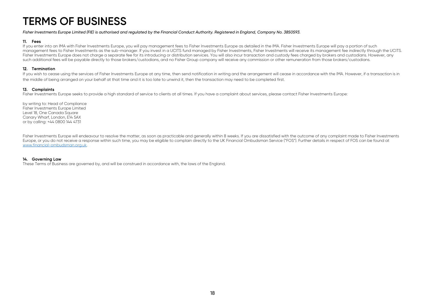#### *Fisher Investments Europe Limited (FIE) is authorised and regulated by the Financial Conduct Authority. Registered in England, Company No. 3850593.*

#### 11. Fees

If you enter into an IMA with Fisher Investments Europe, you will pay management fees to Fisher Investments Europe as detailed in the IMA. Fisher Investments Europe will pay a portion of such management fees to Fisher Investments as the sub-manager. If you invest in a UCITS fund managed by Fisher Investments, Fisher Investments will receive its management fee indirectly through the UCITS. Fisher Investments Europe does not charge a separate fee for its introducing or distribution services. You will also incur transaction and custody fees charged by brokers and custodians. However, any such additional fees will be payable directly to those brokers/custodians, and no Fisher Group company will receive any commission or other remuneration from those brokers/custodians.

#### 12. Termination

If you wish to cease using the services of Fisher Investments Europe at any time, then send notification in writing and the arrangement will cease in accordance with the IMA. However, if a transaction is in the middle of being arranged on your behalf at that time and it is too late to unwind it, then the transaction may need to be completed first.

#### 13. Complaints

Fisher Investments Europe seeks to provide a high standard of service to clients at all times. If you have a complaint about services, please contact Fisher Investments Europe:

by writing to: Head of Compliance Fisher Investments Europe Limited Level 18, One Canada Square Canary Wharf, London, E14 5AX or by calling: +44 0800 144 4731

Fisher Investments Europe will endeavour to resolve the matter, as soon as practicable and generally within 8 weeks. If you are dissatisfied with the outcome of any complaint made to Fisher Investments Europe, or you do not receive a response within such time, you may be eligible to complain directly to the UK Financial Ombudsman Service ("FOS"). Further details in respect of FOS can be found at www.financial-ombudsman.org.uk.

#### 14. Governing Law

These Terms of Business are governed by, and will be construed in accordance with, the laws of the England.